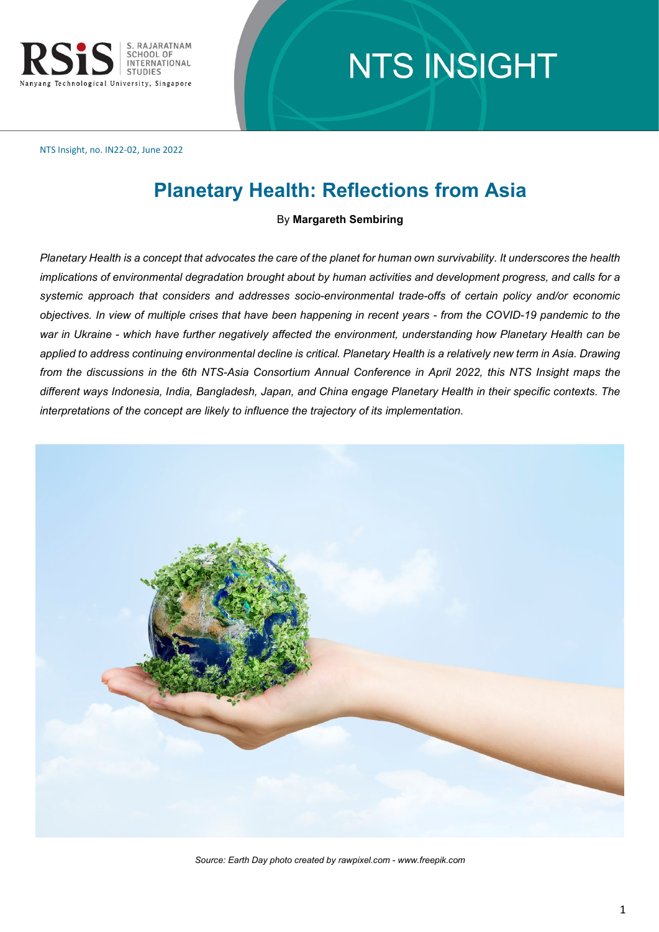

# **NTS INSIGHT**

NTS Insight, no. IN22-02, June 2022

## **Planetary Health: Reflections from Asia**

#### By **Margareth Sembiring**

*Planetary Health is a concept that advocates the care of the planet for human own survivability. It underscores the health implications of environmental degradation brought about by human activities and development progress, and calls for a systemic approach that considers and addresses socio-environmental trade-offs of certain policy and/or economic objectives. In view of multiple crises that have been happening in recent years - from the COVID-19 pandemic to the war in Ukraine - which have further negatively affected the environment, understanding how Planetary Health can be applied to address continuing environmental decline is critical. Planetary Health is a relatively new term in Asia. Drawing from the discussions in the 6th NTS-Asia Consortium Annual Conference in April 2022, this NTS Insight maps the different ways Indonesia, India, Bangladesh, Japan, and China engage Planetary Health in their specific contexts. The interpretations of the concept are likely to influence the trajectory of its implementation.*



*Source: Earth Day photo created by rawpixel.com - www.freepik.com*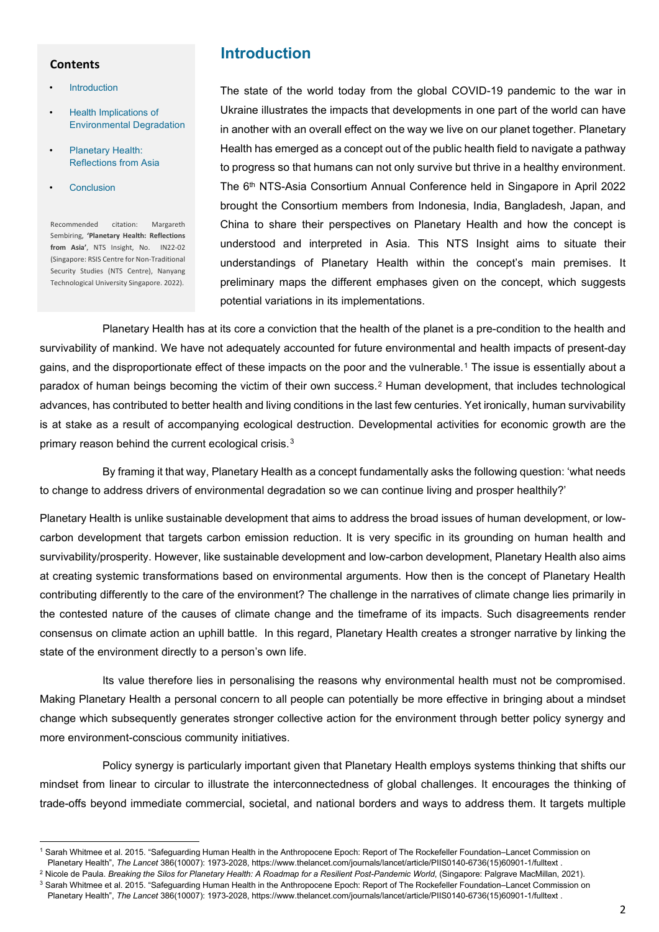#### **Contents**

- **Introduction**
- Health Implications of [Environmental Degradation](#page-2-0)
- [Planetary Health:](#page-6-0) Reflections from Asia
- **[Conclusion](#page-8-0)**

Recommended citation: Margareth Sembiring, **'Planetary Health: Reflections from Asia'**, NTS Insight, No. IN22-02 (Singapore: RSIS Centre for Non-Traditional Security Studies (NTS Centre), Nanyang Technological University Singapore. 2022).

## **Introduction**

The state of the world today from the global COVID-19 pandemic to the war in Ukraine illustrates the impacts that developments in one part of the world can have in another with an overall effect on the way we live on our planet together. Planetary Health has emerged as a concept out of the public health field to navigate a pathway to progress so that humans can not only survive but thrive in a healthy environment. The 6th NTS-Asia Consortium Annual Conference held in Singapore in April 2022 brought the Consortium members from Indonesia, India, Bangladesh, Japan, and China to share their perspectives on Planetary Health and how the concept is understood and interpreted in Asia. This NTS Insight aims to situate their understandings of Planetary Health within the concept's main premises. It preliminary maps the different emphases given on the concept, which suggests potential variations in its implementations.

Planetary Health has at its core a conviction that the health of the planet is a pre-condition to the health and survivability of mankind. We have not adequately accounted for future environmental and health impacts of present-day gains, and the disproportionate effect of these impacts on the poor and the vulnerable.[1](#page-1-0) The issue is essentially about a paradox of human beings becoming the victim of their own success.[2](#page-1-1) Human development, that includes technological advances, has contributed to better health and living conditions in the last few centuries. Yet ironically, human survivability is at stake as a result of accompanying ecological destruction. Developmental activities for economic growth are the primary reason behind the current ecological crisis.<sup>3</sup>

By framing it that way, Planetary Health as a concept fundamentally asks the following question: 'what needs to change to address drivers of environmental degradation so we can continue living and prosper healthily?'

Planetary Health is unlike sustainable development that aims to address the broad issues of human development, or lowcarbon development that targets carbon emission reduction. It is very specific in its grounding on human health and survivability/prosperity. However, like sustainable development and low-carbon development, Planetary Health also aims at creating systemic transformations based on environmental arguments. How then is the concept of Planetary Health contributing differently to the care of the environment? The challenge in the narratives of climate change lies primarily in the contested nature of the causes of climate change and the timeframe of its impacts. Such disagreements render consensus on climate action an uphill battle. In this regard, Planetary Health creates a stronger narrative by linking the state of the environment directly to a person's own life.

Its value therefore lies in personalising the reasons why environmental health must not be compromised. Making Planetary Health a personal concern to all people can potentially be more effective in bringing about a mindset change which subsequently generates stronger collective action for the environment through better policy synergy and more environment-conscious community initiatives.

Policy synergy is particularly important given that Planetary Health employs systems thinking that shifts our mindset from linear to circular to illustrate the interconnectedness of global challenges. It encourages the thinking of trade-offs beyond immediate commercial, societal, and national borders and ways to address them. It targets multiple

<span id="page-1-0"></span><sup>1</sup> Sarah Whitmee et al. 2015. "Safeguarding Human Health in the Anthropocene Epoch: Report of The Rockefeller Foundation–Lancet Commission on

<span id="page-1-1"></span>

<sup>.</sup> Planetary Health", *The Lancet* 386(10007): 1973-2028, https://www.thelancet.com/journals/lancet/article/PIIS0140-6736(15)60901-1/fulltext<br><sup>2</sup> Nicole de Paula. *Breaking the Silos for Planetary Health: A Roadmap for a Re* 

<span id="page-1-2"></span>Planetary Health", The Lancet 386(10007): 1973-2028[, https://www.thelancet.com/journals/lancet/article/PIIS0140-6736\(15\)60901-1/fulltext](https://www.thelancet.com/journals/lancet/article/PIIS0140-6736(15)60901-1/fulltext) .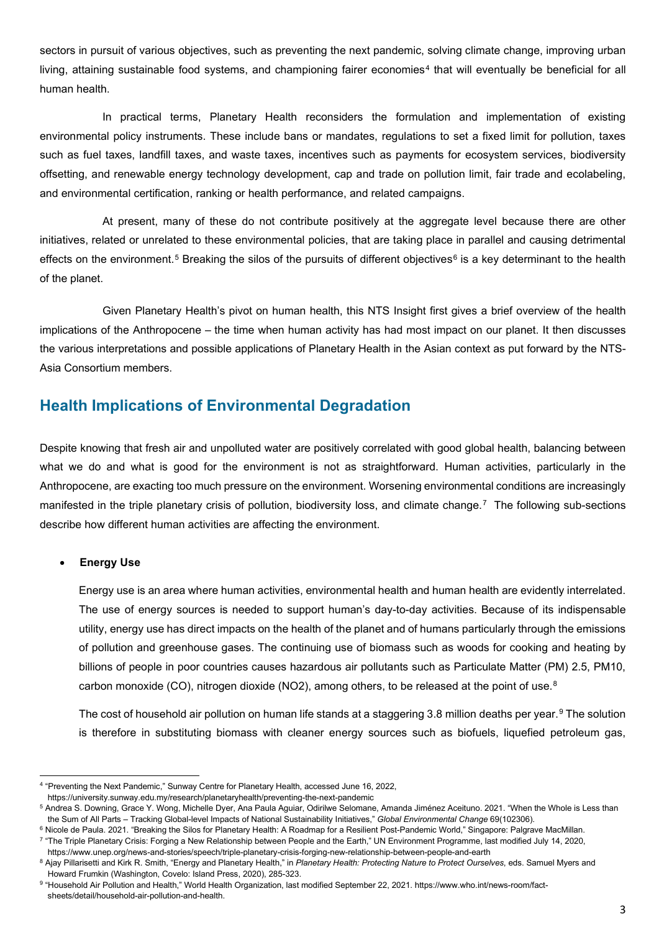<span id="page-2-0"></span>sectors in pursuit of various objectives, such as preventing the next pandemic, solving climate change, improving urban living, attaining sustainable food systems, and championing fairer economies [4](#page-2-1) that will eventually be beneficial for all human health.

In practical terms, Planetary Health reconsiders the formulation and implementation of existing environmental policy instruments. These include bans or mandates, regulations to set a fixed limit for pollution, taxes such as fuel taxes, landfill taxes, and waste taxes, incentives such as payments for ecosystem services, biodiversity offsetting, and renewable energy technology development, cap and trade on pollution limit, fair trade and ecolabeling, and environmental certification, ranking or health performance, and related campaigns.

At present, many of these do not contribute positively at the aggregate level because there are other initiatives, related or unrelated to these environmental policies, that are taking place in parallel and causing detrimental effects on the environment.<sup>[5](#page-2-2)</sup> Breaking the silos of the pursuits of different objectives<sup>[6](#page-2-3)</sup> is a key determinant to the health of the planet.

Given Planetary Health's pivot on human health, this NTS Insight first gives a brief overview of the health implications of the Anthropocene – the time when human activity has had most impact on our planet. It then discusses the various interpretations and possible applications of Planetary Health in the Asian context as put forward by the NTS-Asia Consortium members.

## **Health Implications of Environmental Degradation**

Despite knowing that fresh air and unpolluted water are positively correlated with good global health, balancing between what we do and what is good for the environment is not as straightforward. Human activities, particularly in the Anthropocene, are exacting too much pressure on the environment. Worsening environmental conditions are increasingly manifested in the triple planetary crisis of pollution, biodiversity loss, and climate change.[7](#page-2-4) The following sub-sections describe how different human activities are affecting the environment.

#### **Energy Use**

Energy use is an area where human activities, environmental health and human health are evidently interrelated. The use of energy sources is needed to support human's day-to-day activities. Because of its indispensable utility, energy use has direct impacts on the health of the planet and of humans particularly through the emissions of pollution and greenhouse gases. The continuing use of biomass such as woods for cooking and heating by billions of people in poor countries causes hazardous air pollutants such as Particulate Matter (PM) 2.5, PM10, carbon monoxide (CO), nitrogen dioxide (NO2), among others, to be released at the point of use.<sup>[8](#page-2-5)</sup>

The cost of household air pollution on human life stands at a staggering 3.8 million deaths per year.<sup>[9](#page-2-6)</sup> The solution is therefore in substituting biomass with cleaner energy sources such as biofuels, liquefied petroleum gas,

<span id="page-2-1"></span><sup>4</sup> "Preventing the Next Pandemic," Sunway Centre for Planetary Health, accessed June 16, 2022,

<span id="page-2-2"></span>https://university.sunway.edu.my/research/planetaryhealth/preventing-the-next-pandemic<br><sup>5</sup> Andrea S. Downing, Grace Y. Wong, Michelle Dver, Ana Paula Aguiar, Odirilwe Selomane, Amanda Jiménez Aceituno, 2021, "When the Whol the Sum of All Parts – Tracking Global-level Impacts of National Sustainability Initiatives," *Global Environmental Change* 69(102306).

<sup>6</sup> Nicole de Paula. 2021. "Breaking the Silos for Planetary Health: A Roadmap for a Resilient Post-Pandemic World," Singapore: Palgrave MacMillan.

<span id="page-2-4"></span><span id="page-2-3"></span><sup>&</sup>lt;sup>7</sup> "The Triple Planetary Crisis: Forging a New Relationship between People and the Earth," UN Environment Programme, last modified July 14, 2020,<br>https://www.unep.org/news-and-stories/speech/triple-planetary-crisis-forgin

<span id="page-2-5"></span><sup>&</sup>lt;sup>8</sup> Ajay Pillarisetti and Kirk R. Smith, "Energy and Planetary Health," in Planetary Health: Protecting Nature to Protect Ourselves, eds. Samuel Myers and Howard Frumkin (Washington, Covelo: Island Press, 2020), 285-323.

<span id="page-2-6"></span><sup>9 &</sup>quot;Household Air Pollution and Health," World Health Organization, last modified September 22, 2021. [https://www.who.int/news-room/fact](https://www.who.int/news-room/fact-sheets/detail/household-air-pollution-and-health)[sheets/detail/household-air-pollution-and-health.](https://www.who.int/news-room/fact-sheets/detail/household-air-pollution-and-health)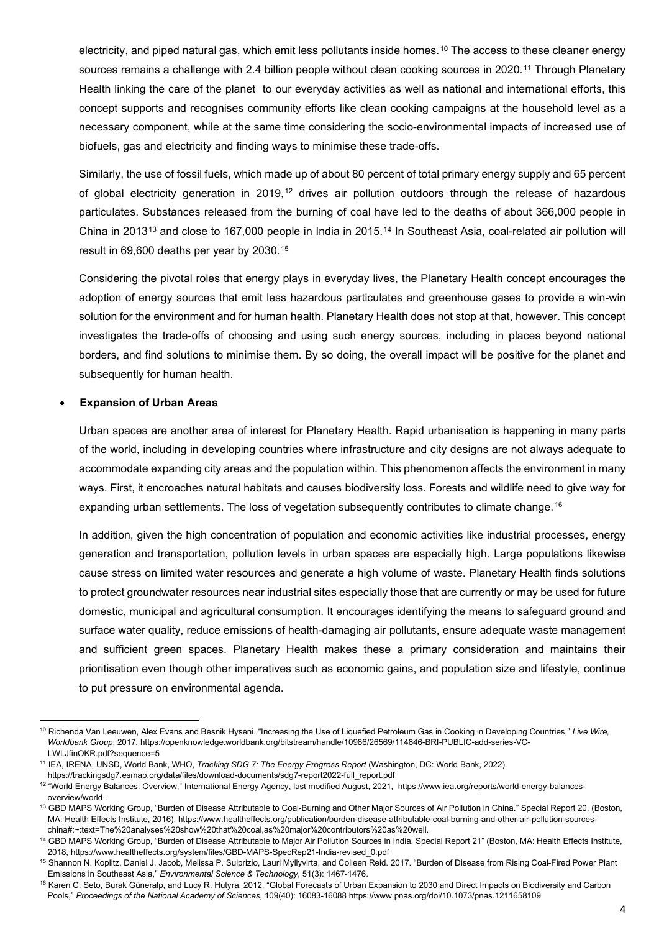electricity, and piped natural gas, which emit less pollutants inside homes.<sup>[10](#page-3-0)</sup> The access to these cleaner energy sources remains a challenge with 2.4 billion people without clean cooking sources in 2020.<sup>[11](#page-3-1)</sup> Through Planetary Health linking the care of the planet to our everyday activities as well as national and international efforts, this concept supports and recognises community efforts like clean cooking campaigns at the household level as a necessary component, while at the same time considering the socio-environmental impacts of increased use of biofuels, gas and electricity and finding ways to minimise these trade-offs.

Similarly, the use of fossil fuels, which made up of about 80 percent of total primary energy supply and 65 percent of global electricity generation in 2019,<sup>[12](#page-3-2)</sup> drives air pollution outdoors through the release of hazardous particulates. Substances released from the burning of coal have led to the deaths of about 366,000 people in China in 20[13](#page-3-3)<sup>13</sup> and close to 167,000 people in India in 2015.<sup>[14](#page-3-4)</sup> In Southeast Asia, coal-related air pollution will result in 69,600 deaths per year by 2030.[15](#page-3-5) 

Considering the pivotal roles that energy plays in everyday lives, the Planetary Health concept encourages the adoption of energy sources that emit less hazardous particulates and greenhouse gases to provide a win-win solution for the environment and for human health. Planetary Health does not stop at that, however. This concept investigates the trade-offs of choosing and using such energy sources, including in places beyond national borders, and find solutions to minimise them. By so doing, the overall impact will be positive for the planet and subsequently for human health.

#### • **Expansion of Urban Areas**

Urban spaces are another area of interest for Planetary Health. Rapid urbanisation is happening in many parts of the world, including in developing countries where infrastructure and city designs are not always adequate to accommodate expanding city areas and the population within. This phenomenon affects the environment in many ways. First, it encroaches natural habitats and causes biodiversity loss. Forests and wildlife need to give way for expanding urban settlements. The loss of vegetation subsequently contributes to climate change.<sup>[16](#page-3-6)</sup>

In addition, given the high concentration of population and economic activities like industrial processes, energy generation and transportation, pollution levels in urban spaces are especially high. Large populations likewise cause stress on limited water resources and generate a high volume of waste. Planetary Health finds solutions to protect groundwater resources near industrial sites especially those that are currently or may be used for future domestic, municipal and agricultural consumption. It encourages identifying the means to safeguard ground and surface water quality, reduce emissions of health-damaging air pollutants, ensure adequate waste management and sufficient green spaces. Planetary Health makes these a primary consideration and maintains their prioritisation even though other imperatives such as economic gains, and population size and lifestyle, continue to put pressure on environmental agenda.

<span id="page-3-0"></span><sup>10</sup> Richenda Van Leeuwen, Alex Evans and Besnik Hyseni. "Increasing the Use of Liquefied Petroleum Gas in Cooking in Developing Countries," *Live Wire, Worldbank Group*, 2017*.* [https://openknowledge.worldbank.org/bitstream/handle/10986/26569/114846-BRI-PUBLIC-add-series-VC-](https://openknowledge.worldbank.org/bitstream/handle/10986/26569/114846-BRI-PUBLIC-add-series-VC-LWLJfinOKR.pdf?sequence=5)

[LWLJfinOKR.pdf?sequence=5](https://openknowledge.worldbank.org/bitstream/handle/10986/26569/114846-BRI-PUBLIC-add-series-VC-LWLJfinOKR.pdf?sequence=5) 11 IEA, IRENA, UNSD, World Bank, WHO, *Tracking SDG 7: The Energy Progress Report* (Washington, DC: World Bank, 2022).

<span id="page-3-2"></span><span id="page-3-1"></span>https://trackingsdg7.esmap.org/data/files/download-documents/sdg7-report2022-full\_report.pdf<br><sup>12</sup> "World Energy Balances: Overview," International Energy Agency, last modified August, 2021, https://www.iea.org/reports/worl overview/world [.](https://www.iea.org/reports/world-energy-balances-overview/world)<br><sup>13</sup> GBD MAPS Working Group, "Burden of Disease Attributable to Coal-Burning and Other Major Sources of Air Pollution in China." Special Report 20. (Boston,

<span id="page-3-3"></span>MA: Health Effects Institute, 2016). https://www.healtheffects.org/publication/burden-disease-attributable-coal-burning-and-other-air-pollution-sources-<br>china#:~:text=The%20analyses%20show%20that%20coal.as%20major%20contri

<span id="page-3-4"></span><sup>&</sup>lt;sup>14</sup> GBD MAPS Working Group, "Burden of Disease Attributable to Major Air Pollution Sources in India. Special Report 21" (Boston, MA: Health Effects Institute, 2018, [https://www.healtheffects.org/system/files/GBD-MAPS-SpecRep21-India-revised\\_0.pdf](https://www.healtheffects.org/system/files/GBD-MAPS-SpecRep21-India-revised_0.pdf)

<span id="page-3-5"></span><sup>&</sup>lt;sup>15</sup> Shannon N. Koplitz, Daniel J. Jacob, Melissa P. Sulprizio, Lauri Myllyvirta, and Colleen Reid. 2017. "Burden of Disease from Rising Coal-Fired Power Plant<br>Emissions in Southeast Asia," *Environmental Science & Technol* 

<span id="page-3-6"></span><sup>16</sup> Karen C. Seto, Burak Güneralp, and Lucy R. Hutyra. 2012. "Global Forecasts of Urban Expansion to 2030 and Direct Impacts on Biodiversity and Carbon Pools," *Proceedings of the National Academy of Sciences*, 109(40): 16083-1608[8 https://www.pnas.org/doi/10.1073/pnas.1211658109](https://www.pnas.org/doi/10.1073/pnas.1211658109)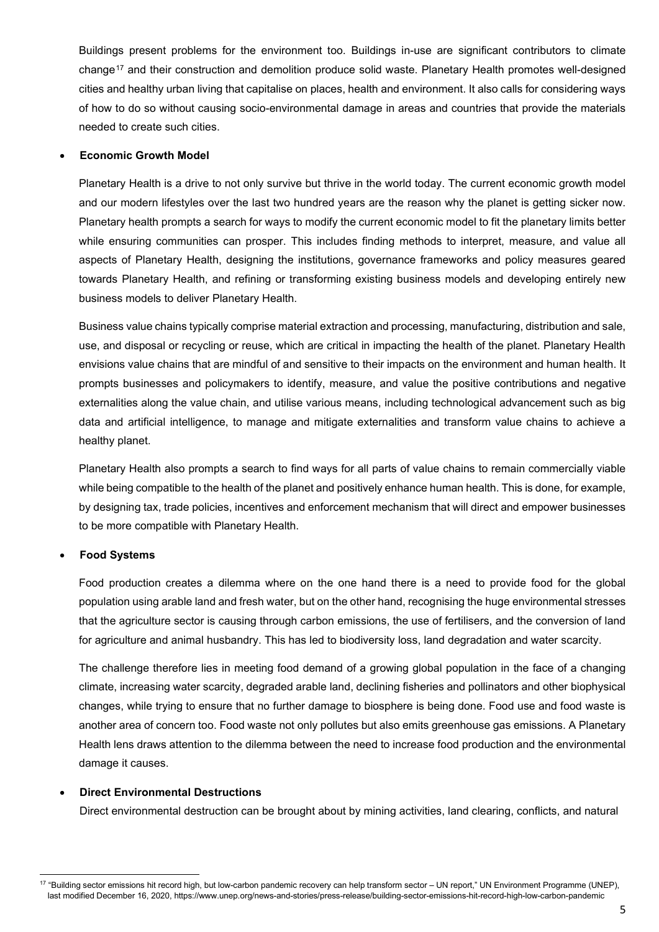Buildings present problems for the environment too. Buildings in-use are significant contributors to climate change<sup>[17](#page-4-0)</sup> and their construction and demolition produce solid waste. Planetary Health promotes well-designed cities and healthy urban living that capitalise on places, health and environment. It also calls for considering ways of how to do so without causing socio-environmental damage in areas and countries that provide the materials needed to create such cities.

#### • **Economic Growth Model**

Planetary Health is a drive to not only survive but thrive in the world today. The current economic growth model and our modern lifestyles over the last two hundred years are the reason why the planet is getting sicker now. Planetary health prompts a search for ways to modify the current economic model to fit the planetary limits better while ensuring communities can prosper. This includes finding methods to interpret, measure, and value all aspects of Planetary Health, designing the institutions, governance frameworks and policy measures geared towards Planetary Health, and refining or transforming existing business models and developing entirely new business models to deliver Planetary Health.

Business value chains typically comprise material extraction and processing, manufacturing, distribution and sale, use, and disposal or recycling or reuse, which are critical in impacting the health of the planet. Planetary Health envisions value chains that are mindful of and sensitive to their impacts on the environment and human health. It prompts businesses and policymakers to identify, measure, and value the positive contributions and negative externalities along the value chain, and utilise various means, including technological advancement such as big data and artificial intelligence, to manage and mitigate externalities and transform value chains to achieve a healthy planet.

Planetary Health also prompts a search to find ways for all parts of value chains to remain commercially viable while being compatible to the health of the planet and positively enhance human health. This is done, for example, by designing tax, trade policies, incentives and enforcement mechanism that will direct and empower businesses to be more compatible with Planetary Health.

#### • **Food Systems**

Food production creates a dilemma where on the one hand there is a need to provide food for the global population using arable land and fresh water, but on the other hand, recognising the huge environmental stresses that the agriculture sector is causing through carbon emissions, the use of fertilisers, and the conversion of land for agriculture and animal husbandry. This has led to biodiversity loss, land degradation and water scarcity.

The challenge therefore lies in meeting food demand of a growing global population in the face of a changing climate, increasing water scarcity, degraded arable land, declining fisheries and pollinators and other biophysical changes, while trying to ensure that no further damage to biosphere is being done. Food use and food waste is another area of concern too. Food waste not only pollutes but also emits greenhouse gas emissions. A Planetary Health lens draws attention to the dilemma between the need to increase food production and the environmental damage it causes.

#### • **Direct Environmental Destructions**

Direct environmental destruction can be brought about by mining activities, land clearing, conflicts, and natural

<span id="page-4-0"></span><sup>17</sup> "Building sector emissions hit record high, but low-carbon pandemic recovery can help transform sector – UN report," UN Environment Programme (UNEP), last modified December 16, 2020[, https://www.unep.org/news-and-stories/press-release/building-sector-emissions-hit-record-high-low-carbon-pandemic](https://www.unep.org/news-and-stories/press-release/building-sector-emissions-hit-record-high-low-carbon-pandemic)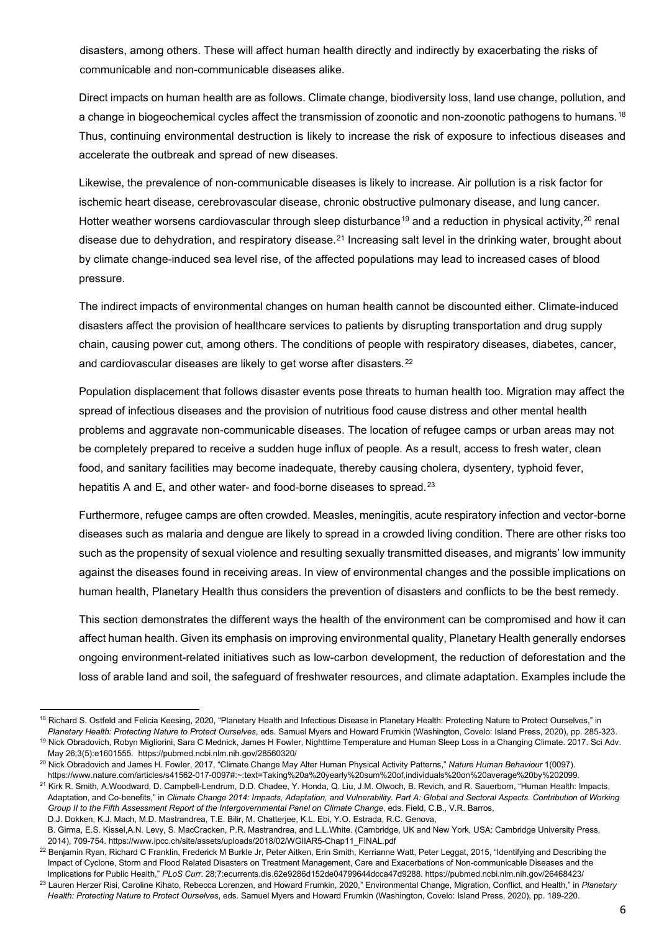disasters, among others. These will affect human health directly and indirectly by exacerbating the risks of communicable and non-communicable diseases alike.

Direct impacts on human health are as follows. Climate change, biodiversity loss, land use change, pollution, and a change in biogeochemical cycles affect the transmission of zoonotic and non-zoonotic pathogens to humans.<sup>[18](#page-5-0)</sup> Thus, continuing environmental destruction is likely to increase the risk of exposure to infectious diseases and accelerate the outbreak and spread of new diseases.

Likewise, the prevalence of non-communicable diseases is likely to increase. Air pollution is a risk factor for ischemic heart disease, cerebrovascular disease, chronic obstructive pulmonary disease, and lung cancer. Hotter weather worsens cardiovascular through sleep disturbance<sup>[19](#page-5-1)</sup> and a reduction in physical activity,<sup>[20](#page-5-2)</sup> renal disease due to dehydration, and respiratory disease.<sup>[21](#page-5-3)</sup> Increasing salt level in the drinking water, brought about by climate change-induced sea level rise, of the affected populations may lead to increased cases of blood pressure.

The indirect impacts of environmental changes on human health cannot be discounted either. Climate-induced disasters affect the provision of healthcare services to patients by disrupting transportation and drug supply chain, causing power cut, among others. The conditions of people with respiratory diseases, diabetes, cancer, and cardiovascular diseases are likely to get worse after disasters.<sup>[22](#page-5-4)</sup>

Population displacement that follows disaster events pose threats to human health too. Migration may affect the spread of infectious diseases and the provision of nutritious food cause distress and other mental health problems and aggravate non-communicable diseases. The location of refugee camps or urban areas may not be completely prepared to receive a sudden huge influx of people. As a result, access to fresh water, clean food, and sanitary facilities may become inadequate, thereby causing cholera, dysentery, typhoid fever, hepatitis A and E, and other water- and food-borne diseases to spread.<sup>[23](#page-5-5)</sup>

Furthermore, refugee camps are often crowded. Measles, meningitis, acute respiratory infection and vector-borne diseases such as malaria and dengue are likely to spread in a crowded living condition. There are other risks too such as the propensity of sexual violence and resulting sexually transmitted diseases, and migrants' low immunity against the diseases found in receiving areas. In view of environmental changes and the possible implications on human health, Planetary Health thus considers the prevention of disasters and conflicts to be the best remedy.

This section demonstrates the different ways the health of the environment can be compromised and how it can affect human health. Given its emphasis on improving environmental quality, Planetary Health generally endorses ongoing environment-related initiatives such as low-carbon development, the reduction of deforestation and the loss of arable land and soil, the safeguard of freshwater resources, and climate adaptation. Examples include the

<span id="page-5-0"></span><sup>18</sup> Richard S. Ostfeld and Felicia Keesing, 2020, "Planetary Health and Infectious Disease in Planetary Health: Protecting Nature to Protect Ourselves," in *Planetary Health: Protecting Nature to Protect Ourselves*, eds. Samuel Myers and Howard Frumkin (Washington, Covelo: Island Press, 2020), pp. 285-323.

<span id="page-5-1"></span><sup>19</sup> Nick Obradovich, Robyn Migliorini, Sara C Mednick, James H Fowler, Nighttime Temperature and Human Sleep Loss in a Changing Climate. 2017. Sci Adv. May 26;3(5):e1601555. <https://pubmed.ncbi.nlm.nih.gov/28560320/>20 Nick Obradovich and James H. Fowler, 2017, "Climate Change May Alter Human Physical Activity Patterns," *Nature Human Behaviour* 1(0097).

<span id="page-5-3"></span><span id="page-5-2"></span>https://www.nature.com/articles/s41562-017-0097#:∼:text=Taking%20a%20yearly%20sum%20of,individuals%20on%20average%20by%202099.<br><sup>21</sup> Kirk R. Smith, A.Woodward, D. Campbell-Lendrum, D.D. Chadee, Y. Honda, Q. Liu, J.M. Olwoc Adaptation, and Co-benefits," in *Climate Change 2014: Impacts, Adaptation, and Vulnerability. Part A: Global and Sectoral Aspects. Contribution of Working Group II to the Fifth Assessment Report of the Intergovernmental Panel on Climate Change*, eds. Field, C.B., V.R. Barros, D.J. Dokken, K.J. Mach, M.D. Mastrandrea, T.E. Bilir, M. Chatterjee, K.L. Ebi, Y.O. Estrada, R.C. Genova,

B. Girma, E.S. Kissel,A.N. Levy, S. MacCracken, P.R. Mastrandrea, and L.L.White. (Cambridge, UK and New York, USA: Cambridge University Press, 2014), 709-754[. https://www.ipcc.ch/site/assets/uploads/2018/02/WGIIAR5-Chap11\\_FINAL.pdf](https://www.ipcc.ch/site/assets/uploads/2018/02/WGIIAR5-Chap11_FINAL.pdf)

<span id="page-5-4"></span> $^{22}$  Benjamin Ryan, Richard C Franklin, Frederick M Burkle Jr, Peter Aitken, Erin Smith, Kerrianne Watt, Peter Leggat, 2015, "Identifying and Describing the Impact of Cyclone, Storm and Flood Related Disasters on Treatment Management, Care and Exacerbations of Non-communicable Diseases and the Implications for Public Health," PLoS Curr. 28;7:ecurrents.dis.62e9286d152de04799644dcca47d9288. https://pubmed.ncbi.nlm.nih.gov/26468423/<br><sup>23</sup> Lauren Herzer Risi, Caroline Kihato, Rebecca Lorenzen, and Howard Frumkin, 202

<span id="page-5-5"></span>*Health: Protecting Nature to Protect Ourselves*, eds. Samuel Myers and Howard Frumkin (Washington, Covelo: Island Press, 2020), pp. 189-220.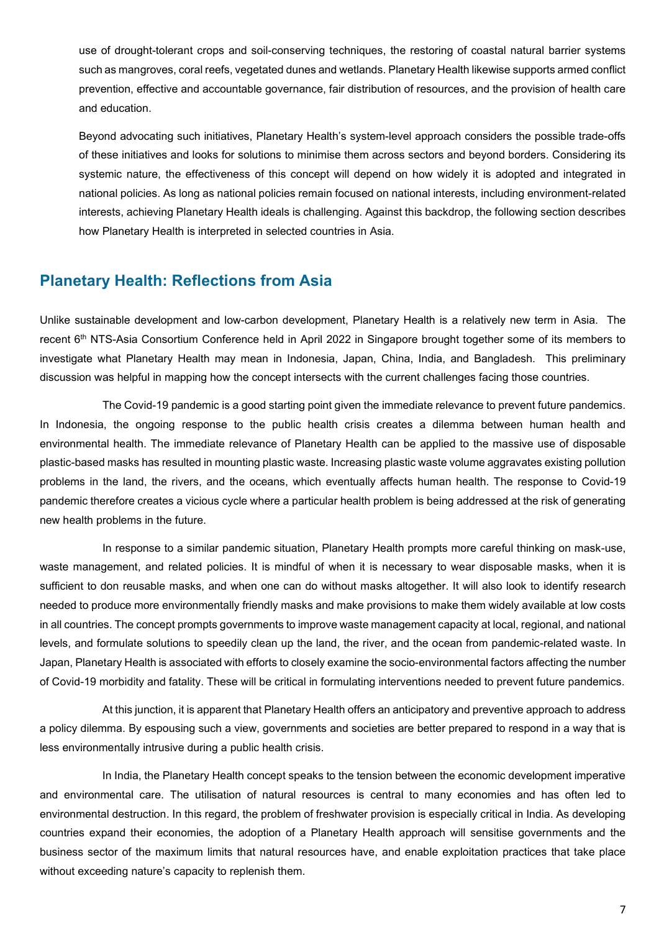<span id="page-6-0"></span>use of drought-tolerant crops and soil-conserving techniques, the restoring of coastal natural barrier systems such as mangroves, coral reefs, vegetated dunes and wetlands. Planetary Health likewise supports armed conflict prevention, effective and accountable governance, fair distribution of resources, and the provision of health care and education.

Beyond advocating such initiatives, Planetary Health's system-level approach considers the possible trade-offs of these initiatives and looks for solutions to minimise them across sectors and beyond borders. Considering its systemic nature, the effectiveness of this concept will depend on how widely it is adopted and integrated in national policies. As long as national policies remain focused on national interests, including environment-related interests, achieving Planetary Health ideals is challenging. Against this backdrop, the following section describes how Planetary Health is interpreted in selected countries in Asia.

### **Planetary Health: Reflections from Asia**

Unlike sustainable development and low-carbon development, Planetary Health is a relatively new term in Asia. The recent 6<sup>th</sup> NTS-Asia Consortium Conference held in April 2022 in Singapore brought together some of its members to investigate what Planetary Health may mean in Indonesia, Japan, China, India, and Bangladesh. This preliminary discussion was helpful in mapping how the concept intersects with the current challenges facing those countries.

The Covid-19 pandemic is a good starting point given the immediate relevance to prevent future pandemics. In Indonesia, the ongoing response to the public health crisis creates a dilemma between human health and environmental health. The immediate relevance of Planetary Health can be applied to the massive use of disposable plastic-based masks has resulted in mounting plastic waste. Increasing plastic waste volume aggravates existing pollution problems in the land, the rivers, and the oceans, which eventually affects human health. The response to Covid-19 pandemic therefore creates a vicious cycle where a particular health problem is being addressed at the risk of generating new health problems in the future.

In response to a similar pandemic situation, Planetary Health prompts more careful thinking on mask-use, waste management, and related policies. It is mindful of when it is necessary to wear disposable masks, when it is sufficient to don reusable masks, and when one can do without masks altogether. It will also look to identify research needed to produce more environmentally friendly masks and make provisions to make them widely available at low costs in all countries. The concept prompts governments to improve waste management capacity at local, regional, and national levels, and formulate solutions to speedily clean up the land, the river, and the ocean from pandemic-related waste. In Japan, Planetary Health is associated with efforts to closely examine the socio-environmental factors affecting the number of Covid-19 morbidity and fatality. These will be critical in formulating interventions needed to prevent future pandemics.

At this junction, it is apparent that Planetary Health offers an anticipatory and preventive approach to address a policy dilemma. By espousing such a view, governments and societies are better prepared to respond in a way that is less environmentally intrusive during a public health crisis.

In India, the Planetary Health concept speaks to the tension between the economic development imperative and environmental care. The utilisation of natural resources is central to many economies and has often led to environmental destruction. In this regard, the problem of freshwater provision is especially critical in India. As developing countries expand their economies, the adoption of a Planetary Health approach will sensitise governments and the business sector of the maximum limits that natural resources have, and enable exploitation practices that take place without exceeding nature's capacity to replenish them.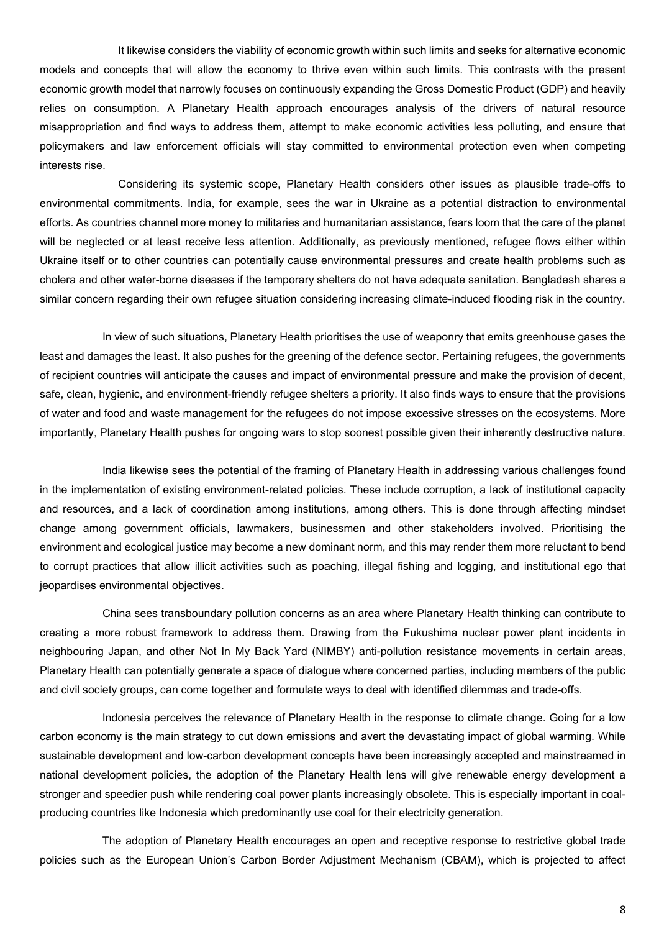It likewise considers the viability of economic growth within such limits and seeks for alternative economic models and concepts that will allow the economy to thrive even within such limits. This contrasts with the present economic growth model that narrowly focuses on continuously expanding the Gross Domestic Product (GDP) and heavily relies on consumption. A Planetary Health approach encourages analysis of the drivers of natural resource misappropriation and find ways to address them, attempt to make economic activities less polluting, and ensure that policymakers and law enforcement officials will stay committed to environmental protection even when competing interests rise.

Considering its systemic scope, Planetary Health considers other issues as plausible trade-offs to environmental commitments. India, for example, sees the war in Ukraine as a potential distraction to environmental efforts. As countries channel more money to militaries and humanitarian assistance, fears loom that the care of the planet will be neglected or at least receive less attention. Additionally, as previously mentioned, refugee flows either within Ukraine itself or to other countries can potentially cause environmental pressures and create health problems such as cholera and other water-borne diseases if the temporary shelters do not have adequate sanitation. Bangladesh shares a similar concern regarding their own refugee situation considering increasing climate-induced flooding risk in the country.

In view of such situations, Planetary Health prioritises the use of weaponry that emits greenhouse gases the least and damages the least. It also pushes for the greening of the defence sector. Pertaining refugees, the governments of recipient countries will anticipate the causes and impact of environmental pressure and make the provision of decent, safe, clean, hygienic, and environment-friendly refugee shelters a priority. It also finds ways to ensure that the provisions of water and food and waste management for the refugees do not impose excessive stresses on the ecosystems. More importantly, Planetary Health pushes for ongoing wars to stop soonest possible given their inherently destructive nature.

India likewise sees the potential of the framing of Planetary Health in addressing various challenges found in the implementation of existing environment-related policies. These include corruption, a lack of institutional capacity and resources, and a lack of coordination among institutions, among others. This is done through affecting mindset change among government officials, lawmakers, businessmen and other stakeholders involved. Prioritising the environment and ecological justice may become a new dominant norm, and this may render them more reluctant to bend to corrupt practices that allow illicit activities such as poaching, illegal fishing and logging, and institutional ego that jeopardises environmental objectives.

China sees transboundary pollution concerns as an area where Planetary Health thinking can contribute to creating a more robust framework to address them. Drawing from the Fukushima nuclear power plant incidents in neighbouring Japan, and other Not In My Back Yard (NIMBY) anti-pollution resistance movements in certain areas, Planetary Health can potentially generate a space of dialogue where concerned parties, including members of the public and civil society groups, can come together and formulate ways to deal with identified dilemmas and trade-offs.

Indonesia perceives the relevance of Planetary Health in the response to climate change. Going for a low carbon economy is the main strategy to cut down emissions and avert the devastating impact of global warming. While sustainable development and low-carbon development concepts have been increasingly accepted and mainstreamed in national development policies, the adoption of the Planetary Health lens will give renewable energy development a stronger and speedier push while rendering coal power plants increasingly obsolete. This is especially important in coalproducing countries like Indonesia which predominantly use coal for their electricity generation.

The adoption of Planetary Health encourages an open and receptive response to restrictive global trade policies such as the European Union's Carbon Border Adjustment Mechanism (CBAM), which is projected to affect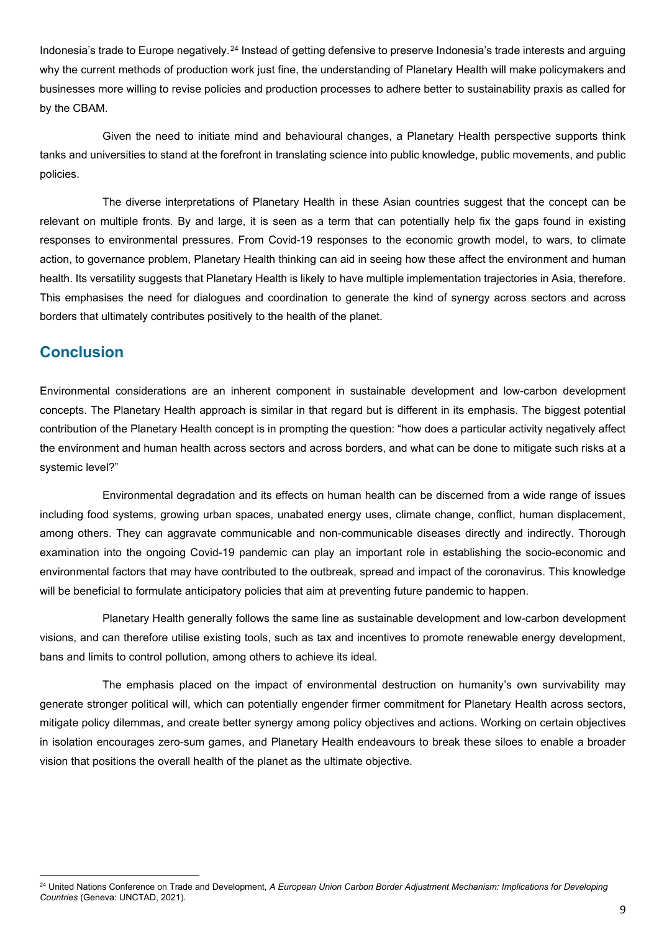<span id="page-8-0"></span>Indonesia's trade to Europe negatively.<sup>[24](#page-8-1)</sup> Instead of getting defensive to preserve Indonesia's trade interests and arguing why the current methods of production work just fine, the understanding of Planetary Health will make policymakers and businesses more willing to revise policies and production processes to adhere better to sustainability praxis as called for by the CBAM.

Given the need to initiate mind and behavioural changes, a Planetary Health perspective supports think tanks and universities to stand at the forefront in translating science into public knowledge, public movements, and public policies.

The diverse interpretations of Planetary Health in these Asian countries suggest that the concept can be relevant on multiple fronts. By and large, it is seen as a term that can potentially help fix the gaps found in existing responses to environmental pressures. From Covid-19 responses to the economic growth model, to wars, to climate action, to governance problem, Planetary Health thinking can aid in seeing how these affect the environment and human health. Its versatility suggests that Planetary Health is likely to have multiple implementation trajectories in Asia, therefore. This emphasises the need for dialogues and coordination to generate the kind of synergy across sectors and across borders that ultimately contributes positively to the health of the planet.

## **Conclusion**

Environmental considerations are an inherent component in sustainable development and low-carbon development concepts. The Planetary Health approach is similar in that regard but is different in its emphasis. The biggest potential contribution of the Planetary Health concept is in prompting the question: "how does a particular activity negatively affect the environment and human health across sectors and across borders, and what can be done to mitigate such risks at a systemic level?"

Environmental degradation and its effects on human health can be discerned from a wide range of issues including food systems, growing urban spaces, unabated energy uses, climate change, conflict, human displacement, among others. They can aggravate communicable and non-communicable diseases directly and indirectly. Thorough examination into the ongoing Covid-19 pandemic can play an important role in establishing the socio-economic and environmental factors that may have contributed to the outbreak, spread and impact of the coronavirus. This knowledge will be beneficial to formulate anticipatory policies that aim at preventing future pandemic to happen.

Planetary Health generally follows the same line as sustainable development and low-carbon development visions, and can therefore utilise existing tools, such as tax and incentives to promote renewable energy development, bans and limits to control pollution, among others to achieve its ideal.

The emphasis placed on the impact of environmental destruction on humanity's own survivability may generate stronger political will, which can potentially engender firmer commitment for Planetary Health across sectors, mitigate policy dilemmas, and create better synergy among policy objectives and actions. Working on certain objectives in isolation encourages zero-sum games, and Planetary Health endeavours to break these siloes to enable a broader vision that positions the overall health of the planet as the ultimate objective.

<span id="page-8-1"></span><sup>&</sup>lt;sup>24</sup> United Nations Conference on Trade and Development, *A European Union Carbon Border Adjustment Mechanism: Implications for Developing Countries* (Geneva: UNCTAD, 2021).